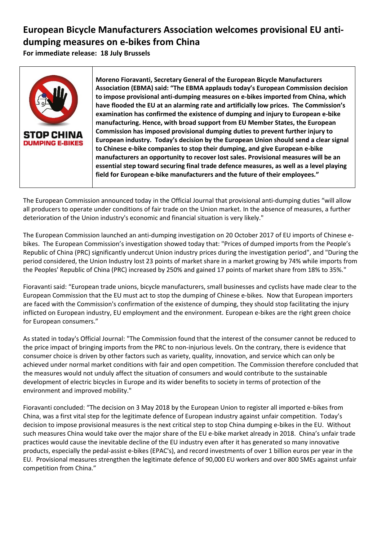## **European Bicycle Manufacturers Association welcomes provisional EU antidumping measures on e-bikes from China**

**For immediate release: 18 July Brussels** 



**Moreno Fioravanti, Secretary General of the European Bicycle Manufacturers Association (EBMA) said: "The EBMA applauds today's European Commission decision to impose provisional anti-dumping measures on e-bikes imported from China, which have flooded the EU at an alarming rate and artificially low prices. The Commission's examination has confirmed the existence of dumping and injury to European e-bike manufacturing. Hence, with broad support from EU Member States, the European Commission has imposed provisional dumping duties to prevent further injury to European industry. Today's decision by the European Union should send a clear signal to Chinese e-bike companies to stop their dumping, and give European e-bike manufacturers an opportunity to recover lost sales. Provisional measures will be an essential step toward securing final trade defence measures, as well as a level playing field for European e-bike manufacturers and the future of their employees."** 

The European Commission announced today in the Official Journal that provisional anti-dumping duties "will allow all producers to operate under conditions of fair trade on the Union market. In the absence of measures, a further deterioration of the Union industry's economic and financial situation is very likely."

The European Commission launched an anti-dumping investigation on 20 October 2017 of EU imports of Chinese ebikes. The European Commission's investigation showed today that: "Prices of dumped imports from the People's Republic of China (PRC) significantly undercut Union industry prices during the investigation period", and "During the period considered, the Union Industry lost 23 points of market share in a market growing by 74% while imports from the Peoples' Republic of China (PRC) increased by 250% and gained 17 points of market share from 18% to 35%."

Fioravanti said: "European trade unions, bicycle manufacturers, small businesses and cyclists have made clear to the European Commission that the EU must act to stop the dumping of Chinese e-bikes. Now that European importers are faced with the Commission's confirmation of the existence of dumping, they should stop facilitating the injury inflicted on European industry, EU employment and the environment. European e-bikes are the right green choice for European consumers."

As stated in today's Official Journal: "The Commission found that the interest of the consumer cannot be reduced to the price impact of bringing imports from the PRC to non-injurious levels. On the contrary, there is evidence that consumer choice is driven by other factors such as variety, quality, innovation, and service which can only be achieved under normal market conditions with fair and open competition. The Commission therefore concluded that the measures would not unduly affect the situation of consumers and would contribute to the sustainable development of electric bicycles in Europe and its wider benefits to society in terms of protection of the environment and improved mobility."

Fioravanti concluded: "The decision on 3 May 2018 by the European Union to register all imported e-bikes from China, was a first vital step for the legitimate defence of European industry against unfair competition. Today's decision to impose provisional measures is the next critical step to stop China dumping e-bikes in the EU. Without such measures China would take over the major share of the EU e-bike market already in 2018. China's unfair trade practices would cause the inevitable decline of the EU industry even after it has generated so many innovative products, especially the pedal-assist e-bikes (EPAC's), and record investments of over 1 billion euros per year in the EU. Provisional measures strengthen the legitimate defence of 90,000 EU workers and over 800 SMEs against unfair competition from China."